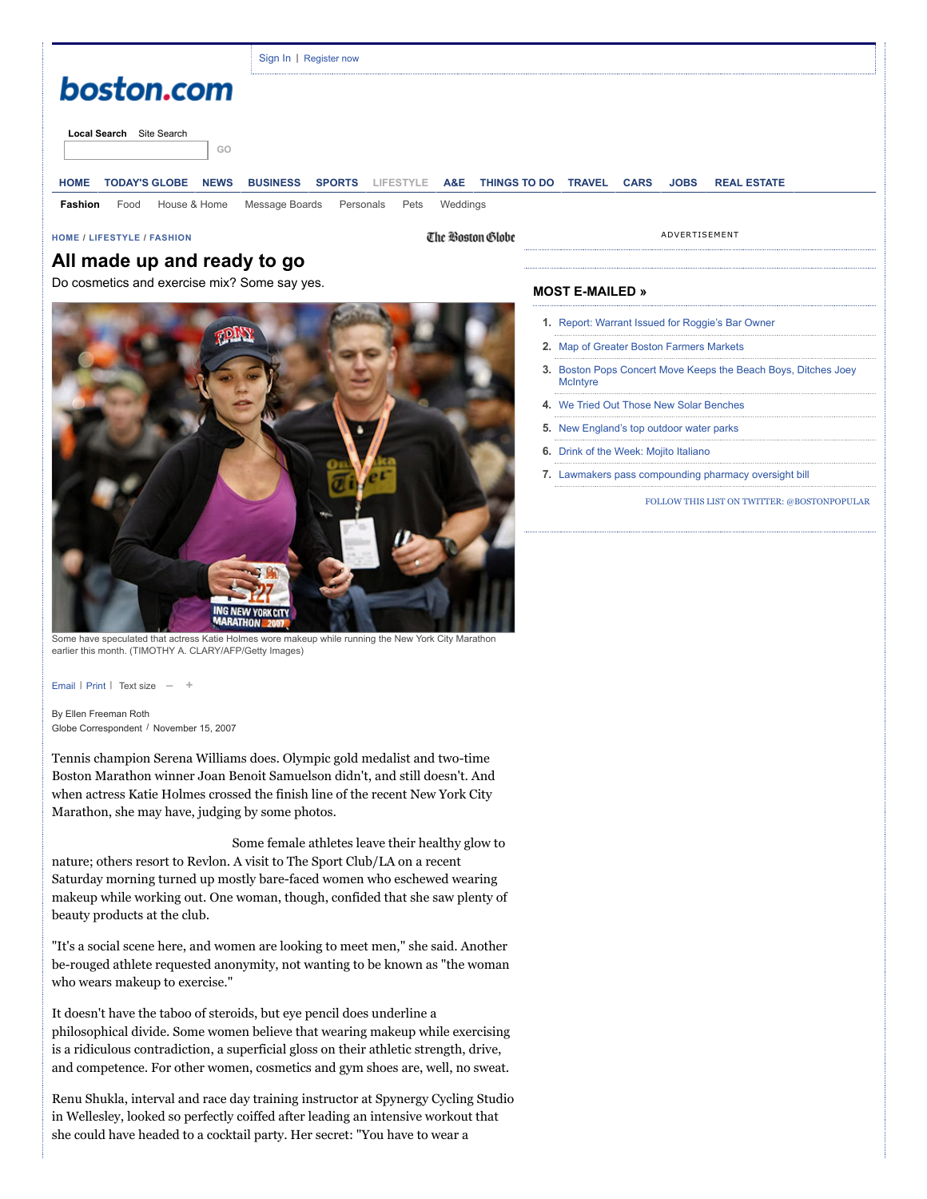|                                                    | Sign In   Register now                                                                                                                           |
|----------------------------------------------------|--------------------------------------------------------------------------------------------------------------------------------------------------|
| boston.com                                         |                                                                                                                                                  |
| Local Search Site Search<br>GO                     |                                                                                                                                                  |
| <b>TODAY'S GLOBE</b><br><b>NEWS</b><br><b>HOME</b> | <b>SPORTS</b><br>A&E<br><b>THINGS TO DO</b><br><b>TRAVEL</b><br><b>BUSINESS</b><br>LIFESTYLE<br><b>CARS</b><br><b>REAL ESTATE</b><br><b>JOBS</b> |
| House & Home<br>Fashion<br>Food                    | Message Boards<br>Weddings<br>Personals<br>Pets                                                                                                  |

**[HOME](http://www.boston.com/) / [LIFESTYLE](http://www.boston.com/lifestyle) / [FASHION](http://www.boston.com/lifestyle/fashion)**

The Boston Globe

ADVERTISEMENT

## **All made up and ready to go**

Do cosmetics and exercise mix? Some say yes.



Some have speculated that actress Katie Holmes wore makeup while running the New York City Marathon earlier this month. (TIMOTHY A. CLARY/AFP/Getty Images)

[Email](javascript:openWindow() | [Print](http://www.boston.com/lifestyle/fashion/articles/2007/11/15/all_made_up_and_ready_to_go?mode=PF) | Text size **– +**

By Ellen Freeman Roth Globe Correspondent / November 15, 2007

Tennis champion Serena Williams does. Olympic gold medalist and two-time Boston Marathon winner Joan Benoit Samuelson didn't, and still doesn't. And when actress Katie Holmes crossed the finish line of the recent New York City Marathon, she may have, judging by some photos.

Some female athletes leave their healthy glow to nature; others resort to Revlon. A visit to The Sport Club/LA on a recent Saturday morning turned up mostly bare-faced women who eschewed wearing makeup while working out. One woman, though, confided that she saw plenty of beauty products at the club.

"It's a social scene here, and women are looking to meet men," she said. Another be-rouged athlete requested anonymity, not wanting to be known as "the woman who wears makeup to exercise."

It doesn't have the taboo of steroids, but eye pencil does underline a philosophical divide. Some women believe that wearing makeup while exercising is a ridiculous contradiction, a superficial gloss on their athletic strength, drive, and competence. For other women, cosmetics and gym shoes are, well, no sweat.

Renu Shukla, interval and race day training instructor at Spynergy Cycling Studio in Wellesley, looked so perfectly coiffed after leading an intensive workout that she could have headed to a cocktail party. Her secret: "You have to wear a

## **MOST E-MAILED »**

- **1.**  [Report: Warrant Issued for Roggie's Bar Owner](http://www.boston.com/news/local/massachusetts/2014/07/03/report-warrant-issued-for-roggie-bar-owner/Ox0pVATBC6LgyIDkeUDu4J/story.html?p1=Well_MostPop_Emailed1)
- **2.**  [Map of Greater Boston Farmers Markets](http://www.boston.com/health/2014/07/03/map-greater-boston-farmers-markets/AIVWLgD8yfkcDiJW5I2HBM/story.html?p1=Well_MostPop_Emailed2)
- **3.**  [Boston Pops Concert Move Keeps the Beach Boys, Ditches Joey](http://www.boston.com/entertainment/events/2014/07/03/boston-pops-concert-move-keeps-the-beach-boys-ditches-joey-mcintyre/GFiQ0kiRaLGES8xozSuoSJ/story.html?p1=Well_MostPop_Emailed3) **McIntyre**
- **4.**  [We Tried Out Those New Solar Benches](http://www.boston.com/news/opinion/2014/07/03/tried-out-those-new-solar-benches/4e2aqfpZKMImTjZI0j8aLM/story.html?p1=Well_MostPop_Emailed4)
- **5.**  [New England's top outdoor water parks](http://www.boston.com/travel/new-england/vermont/2013/07/15/new-england-top-outdoor-water-parks/e49xOgFux6THgmiLDXN3xH/pictures.html?p1=Well_MostPop_Emailed5)
- **6.**  [Drink of the Week: Mojito Italiano](http://www.boston.com/food-dining/food/2014/07/02/drink-the-week-mojito-italiano/mVcpYl5P7IrDqRSpBx3KbL/video.html?p1=Well_MostPop_Emailed6)
- **7.**  [Lawmakers pass compounding pharmacy oversight bill](http://www.boston.com/news/local/massachusetts/2014/06/30/lawmakers-unveil-compounding-pharmacy-bill/uhQpaM1j2BqYQJLHPljtcO/story.html?p1=Well_MostPop_Emailed7)

[FOLLOW THIS LIST ON TWITTER: @BOSTONPOPULAR](http://twitter.com/intent/user?screen_name=BostonPopular)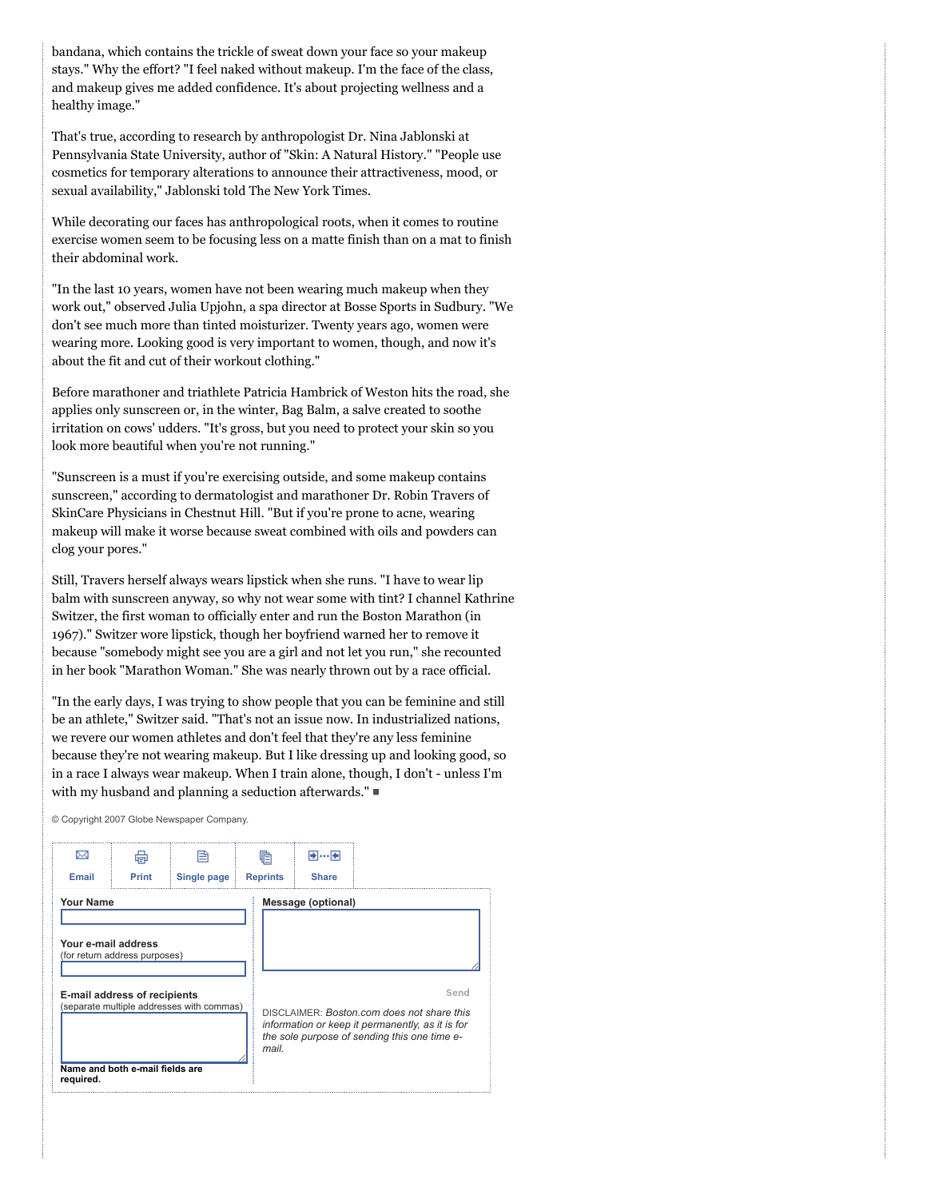bandana, which contains the trickle of sweat down your face so your makeup stays." Why the effort? "I feel naked without makeup. I'm the face of the class, and makeup gives me added confidence. It's about projecting wellness and a healthy image."

That's true, according to research by anthropologist Dr. Nina Jablonski at Pennsylvania State University, author of "Skin: A Natural History." "People use cosmetics for temporary alterations to announce their attractiveness, mood, or sexual availability," Jablonski told The New York Times.

While decorating our faces has anthropological roots, when it comes to routine exercise women seem to be focusing less on a matte finish than on a mat to finish their abdominal work.

"In the last 10 years, women have not been wearing much makeup when they work out," observed Julia Upjohn, a spa director at Bosse Sports in Sudbury. "We don't see much more than tinted moisturizer. Twenty years ago, women were wearing more. Looking good is very important to women, though, and now it's about the fit and cut of their workout clothing."

Before marathoner and triathlete Patricia Hambrick of Weston hits the road, she applies only sunscreen or, in the winter, Bag Balm, a salve created to soothe irritation on cows' udders. "It's gross, but you need to protect your skin so you look more beautiful when you're not running."

"Sunscreen is a must if you're exercising outside, and some makeup contains sunscreen," according to dermatologist and marathoner Dr. Robin Travers of SkinCare Physicians in Chestnut Hill. "But if you're prone to acne, wearing makeup will make it worse because sweat combined with oils and powders can clog your pores."

Still, Travers herself always wears lipstick when she runs. "I have to wear lip balm with sunscreen anyway, so why not wear some with tint? I channel Kathrine Switzer, the first woman to officially enter and run the Boston Marathon (in 1967)." Switzer wore lipstick, though her boyfriend warned her to remove it because "somebody might see you are a girl and not let you run," she recounted in her book "Marathon Woman." She was nearly thrown out by a race official.

"In the early days, I was trying to show people that you can be feminine and still be an athlete," Switzer said. "That's not an issue now. In industrialized nations, we revere our women athletes and don't feel that they're any less feminine because they're not wearing makeup. But I like dressing up and looking good, so in a race I always wear makeup. When I train alone, though, I don't - unless I'm with my husband and planning a seduction afterwards."

© Copyright 2007 Globe Newspaper Company.